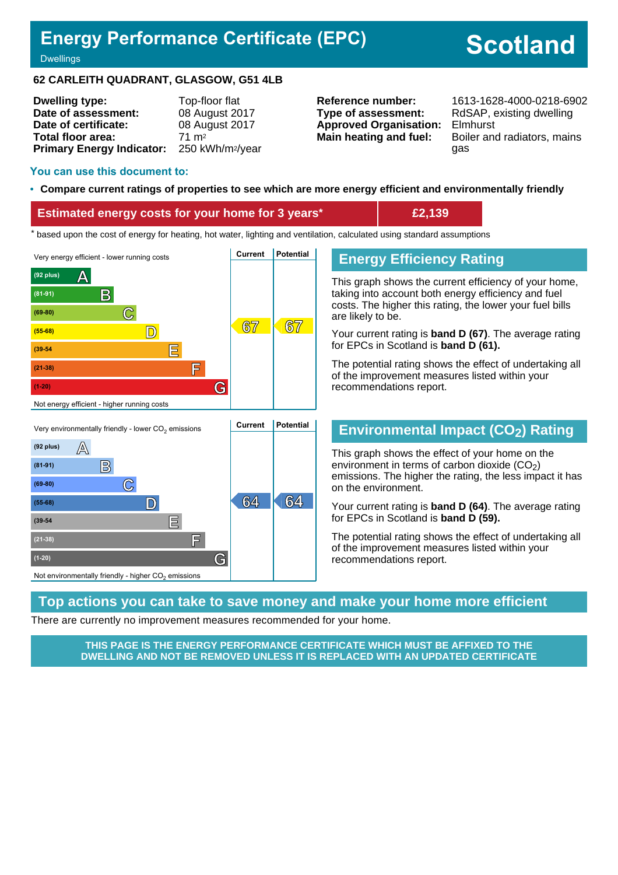## **Energy Performance Certificate (EPC)**

# **Scotland**

#### **Dwellings**

#### **62 CARLEITH QUADRANT, GLASGOW, G51 4LB**

| <b>Dwelling type:</b>            | Top-floor flat               |
|----------------------------------|------------------------------|
| Date of assessment:              | 08 August 2017               |
| Date of certificate:             | 08 August 2017               |
| Total floor area:                | $71 \text{ m}^2$             |
| <b>Primary Energy Indicator:</b> | 250 kWh/m <sup>2</sup> /year |

**Type of assessment:** RdSAP, existing dwelling **Approved Organisation:** Elmhurst

**Reference number:** 1613-1628-4000-0218-6902 **Main heating and fuel:** Boiler and radiators, mains gas

#### **You can use this document to:**

#### • **Compare current ratings of properties to see which are more energy efficient and environmentally friendly**

#### **Estimated energy costs for your home for 3 years\* £2,139**

the sed upon the cost of energy for heating, hot water, lighting and ventilation, calculated using standard assumptions





## **Energy Efficiency Rating**

This graph shows the current efficiency of your home, taking into account both energy efficiency and fuel costs. The higher this rating, the lower your fuel bills are likely to be.

Your current rating is **band D (67)**. The average rating for EPCs in Scotland is **band D (61).**

The potential rating shows the effect of undertaking all of the improvement measures listed within your recommendations report.

#### **Environmental Impact (CO2) Rating**

This graph shows the effect of your home on the environment in terms of carbon dioxide  $(CO<sub>2</sub>)$ emissions. The higher the rating, the less impact it has on the environment.

Your current rating is **band D (64)**. The average rating for EPCs in Scotland is **band D (59).**

The potential rating shows the effect of undertaking all of the improvement measures listed within your recommendations report.

#### **Top actions you can take to save money and make your home more efficient**

There are currently no improvement measures recommended for your home.

**THIS PAGE IS THE ENERGY PERFORMANCE CERTIFICATE WHICH MUST BE AFFIXED TO THE DWELLING AND NOT BE REMOVED UNLESS IT IS REPLACED WITH AN UPDATED CERTIFICATE**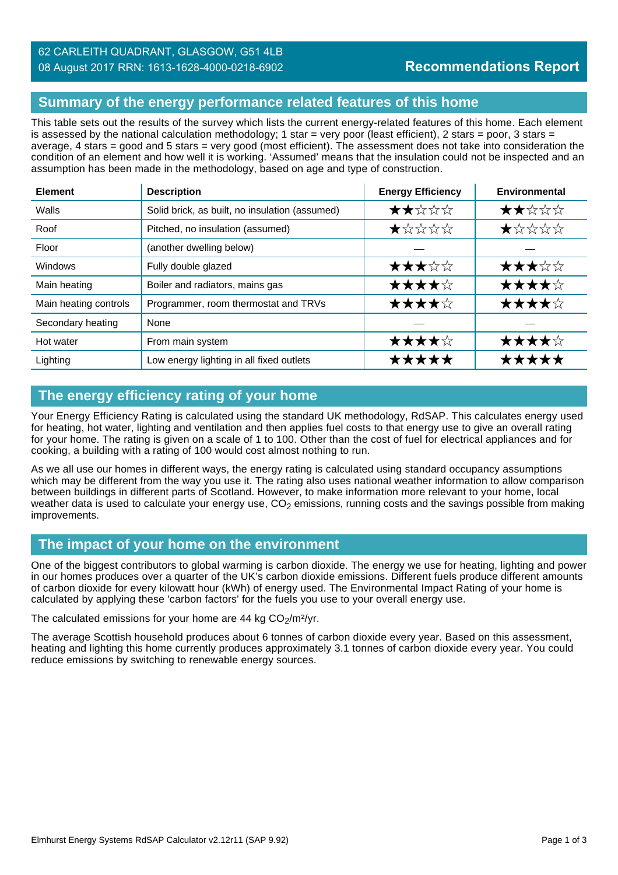### **Summary of the energy performance related features of this home**

This table sets out the results of the survey which lists the current energy-related features of this home. Each element is assessed by the national calculation methodology; 1 star = very poor (least efficient), 2 stars = poor, 3 stars = average, 4 stars = good and 5 stars = very good (most efficient). The assessment does not take into consideration the condition of an element and how well it is working. 'Assumed' means that the insulation could not be inspected and an assumption has been made in the methodology, based on age and type of construction.

| <b>Element</b>        | <b>Description</b>                             | <b>Energy Efficiency</b> | Environmental |
|-----------------------|------------------------------------------------|--------------------------|---------------|
| Walls                 | Solid brick, as built, no insulation (assumed) | ★★☆☆☆                    | ★★☆☆☆         |
| Roof                  | Pitched, no insulation (assumed)               | ★☆☆☆☆                    | ★☆☆☆☆         |
| Floor                 | (another dwelling below)                       |                          |               |
| <b>Windows</b>        | Fully double glazed                            | ★★★☆☆                    | ★★★☆☆         |
| Main heating          | Boiler and radiators, mains gas                | ★★★★☆                    | ★★★★☆         |
| Main heating controls | Programmer, room thermostat and TRVs           | ★★★★☆                    | ★★★★☆         |
| Secondary heating     | None                                           |                          |               |
| Hot water             | From main system                               | ★★★★☆                    | ★★★★☆         |
| Lighting              | Low energy lighting in all fixed outlets       | *****                    | *****         |

## **The energy efficiency rating of your home**

Your Energy Efficiency Rating is calculated using the standard UK methodology, RdSAP. This calculates energy used for heating, hot water, lighting and ventilation and then applies fuel costs to that energy use to give an overall rating for your home. The rating is given on a scale of 1 to 100. Other than the cost of fuel for electrical appliances and for cooking, a building with a rating of 100 would cost almost nothing to run.

As we all use our homes in different ways, the energy rating is calculated using standard occupancy assumptions which may be different from the way you use it. The rating also uses national weather information to allow comparison between buildings in different parts of Scotland. However, to make information more relevant to your home, local weather data is used to calculate your energy use,  $CO<sub>2</sub>$  emissions, running costs and the savings possible from making improvements.

## **The impact of your home on the environment**

One of the biggest contributors to global warming is carbon dioxide. The energy we use for heating, lighting and power in our homes produces over a quarter of the UK's carbon dioxide emissions. Different fuels produce different amounts of carbon dioxide for every kilowatt hour (kWh) of energy used. The Environmental Impact Rating of your home is calculated by applying these 'carbon factors' for the fuels you use to your overall energy use.

The calculated emissions for your home are 44 kg  $CO<sub>2</sub>/m<sup>2</sup>/yr$ .

The average Scottish household produces about 6 tonnes of carbon dioxide every year. Based on this assessment, heating and lighting this home currently produces approximately 3.1 tonnes of carbon dioxide every year. You could reduce emissions by switching to renewable energy sources.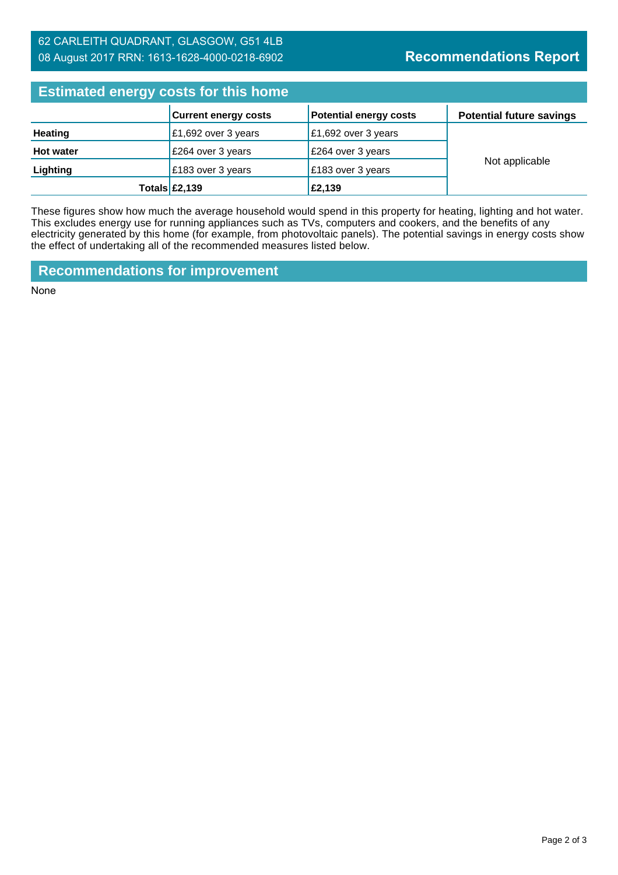#### 62 CARLEITH QUADRANT, GLASGOW, G51 4LB 08 August 2017 RRN: 1613-1628-4000-0218-6902

## **Recommendations Report**

| <b>Estimated energy costs for this home</b> |                             |                               |                                 |  |
|---------------------------------------------|-----------------------------|-------------------------------|---------------------------------|--|
|                                             | <b>Current energy costs</b> | <b>Potential energy costs</b> | <b>Potential future savings</b> |  |
| <b>Heating</b>                              | £1,692 over 3 years         | £1,692 over 3 years           |                                 |  |
| <b>Hot water</b>                            | £264 over 3 years           | £264 over 3 years             | Not applicable                  |  |
| Lighting                                    | £183 over 3 years           | £183 over 3 years             |                                 |  |
|                                             | Totals $£2,139$             | £2,139                        |                                 |  |

These figures show how much the average household would spend in this property for heating, lighting and hot water. This excludes energy use for running appliances such as TVs, computers and cookers, and the benefits of any electricity generated by this home (for example, from photovoltaic panels). The potential savings in energy costs show the effect of undertaking all of the recommended measures listed below.

**Recommendations for improvement**

None